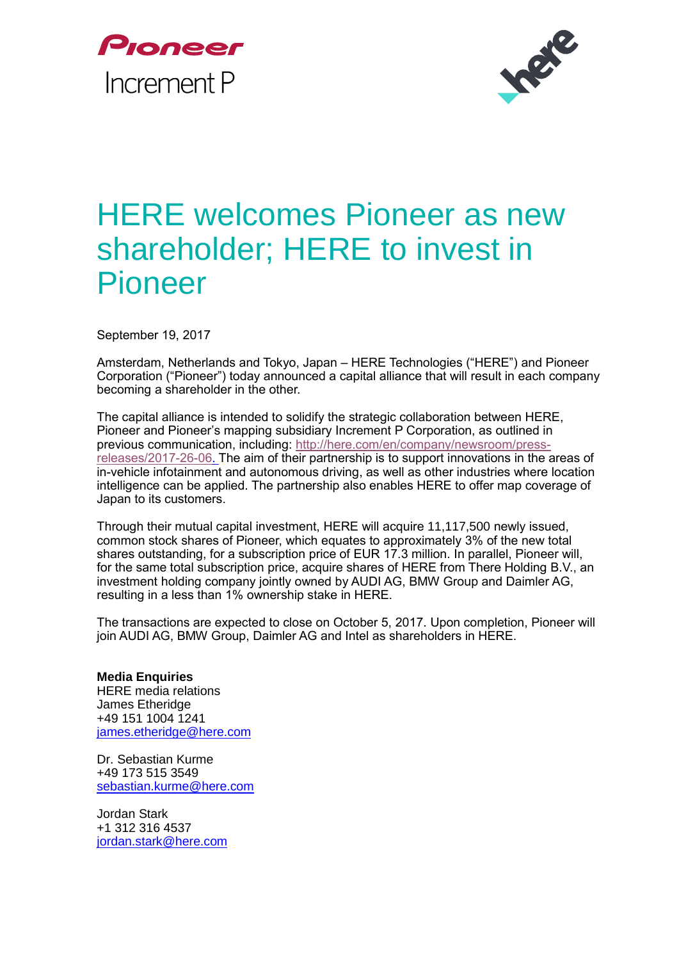



## HERE welcomes Pioneer as new shareholder; HERE to invest in Pioneer

September 19, 2017

Amsterdam, Netherlands and Tokyo, Japan – HERE Technologies ("HERE") and Pioneer Corporation ("Pioneer") today announced a capital alliance that will result in each company becoming a shareholder in the other.

The capital alliance is intended to solidify the strategic collaboration between HERE, Pioneer and Pioneer's mapping subsidiary Increment P Corporation, as outlined in previous communication, including: [http://here.com/en/company/newsroom/press](http://here.com/en/company/newsroom/press-releases/2017-26-06)[releases/2017-26-06.](http://here.com/en/company/newsroom/press-releases/2017-26-06) The aim of their partnership is to support innovations in the areas of in-vehicle infotainment and autonomous driving, as well as other industries where location intelligence can be applied. The partnership also enables HERE to offer map coverage of Japan to its customers.

Through their mutual capital investment, HERE will acquire 11,117,500 newly issued, common stock shares of Pioneer, which equates to approximately 3% of the new total shares outstanding, for a subscription price of EUR 17.3 million. In parallel, Pioneer will, for the same total subscription price, acquire shares of HERE from There Holding B.V., an investment holding company jointly owned by AUDI AG, BMW Group and Daimler AG, resulting in a less than 1% ownership stake in HERE.

The transactions are expected to close on October 5, 2017. Upon completion, Pioneer will join AUDI AG, BMW Group, Daimler AG and Intel as shareholders in HERE.

**Media Enquiries** HERE media relations James Etheridge +49 151 1004 1241 [james.etheridge@here.com](mailto:james.etheridge@here.com)

Dr. Sebastian Kurme +49 173 515 3549 [sebastian.kurme@here.com](mailto:sebastian.kurme@here.com)

Jordan Stark +1 312 316 4537 [jordan.stark@here.com](mailto:jordan.stark@here.com)